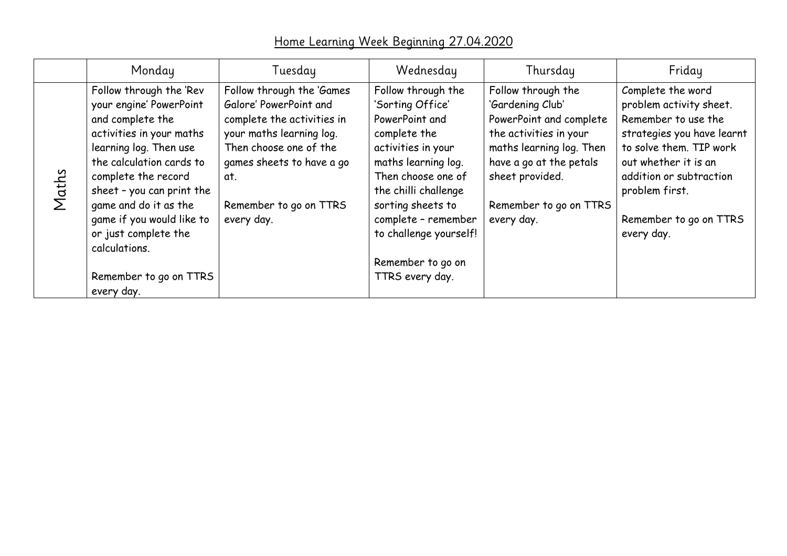## Home Learning Week Beginning 27.04.2020

|       | Monday                                                                                                                                                                                                                                                                                                                                              | Tuesday                                                                                                                                                                                                             | Wednesday                                                                                                                                                                                                                                                                         | Thursday                                                                                                                                                                                                      | Friday                                                                                                                                                                                                                                    |
|-------|-----------------------------------------------------------------------------------------------------------------------------------------------------------------------------------------------------------------------------------------------------------------------------------------------------------------------------------------------------|---------------------------------------------------------------------------------------------------------------------------------------------------------------------------------------------------------------------|-----------------------------------------------------------------------------------------------------------------------------------------------------------------------------------------------------------------------------------------------------------------------------------|---------------------------------------------------------------------------------------------------------------------------------------------------------------------------------------------------------------|-------------------------------------------------------------------------------------------------------------------------------------------------------------------------------------------------------------------------------------------|
| Maths | Follow through the 'Rev<br>your engine' PowerPoint<br>and complete the<br>activities in your maths<br>learning log. Then use<br>the calculation cards to<br>complete the record<br>sheet - you can print the<br>game and do it as the<br>game if you would like to<br>or just complete the<br>calculations.<br>Remember to go on TTRS<br>every day. | Follow through the 'Games<br>Galore' PowerPoint and<br>complete the activities in<br>your maths learning log.<br>Then choose one of the<br>games sheets to have a go<br>αt.<br>Remember to go on TTRS<br>every day. | Follow through the<br>'Sorting Office'<br>PowerPoint and<br>complete the<br>activities in your<br>maths learning log.<br>Then choose one of<br>the chilli challenge<br>sorting sheets to<br>complete - remember<br>to challenge yourself!<br>Remember to go on<br>TTRS every day. | Follow through the<br>'Gardening Club'<br>PowerPoint and complete<br>the activities in your<br>maths learning log. Then<br>have a go at the petals<br>sheet provided.<br>Remember to go on TTRS<br>every day. | Complete the word<br>problem activity sheet.<br>Remember to use the<br>strategies you have learnt<br>to solve them. TIP work<br>out whether it is an<br>addition or subtraction<br>problem first.<br>Remember to go on TTRS<br>every day. |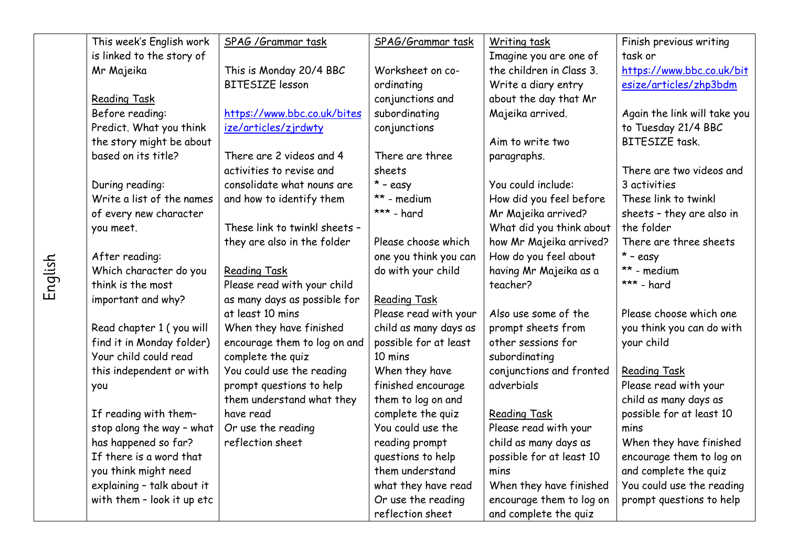| This week's English work   | SPAG / Grammar task           | SPAG/Grammar task     | Writing task             | Finish previous writing      |
|----------------------------|-------------------------------|-----------------------|--------------------------|------------------------------|
| is linked to the story of  |                               |                       | Imagine you are one of   | task or                      |
| Mr Majeika                 | This is Monday 20/4 BBC       | Worksheet on co-      | the children in Class 3. | https://www.bbc.co.uk/bit    |
|                            | <b>BITESIZE</b> lesson        | ordinating            | Write a diary entry      | esize/articles/zhp3bdm       |
| <b>Reading Task</b>        |                               | conjunctions and      | about the day that Mr    |                              |
| Before reading:            | https://www.bbc.co.uk/bites   | subordinating         | Majeika arrived.         | Again the link will take you |
| Predict. What you think    | ize/articles/zjrdwty          | conjunctions          |                          | to Tuesday 21/4 BBC          |
| the story might be about   |                               |                       | Aim to write two         | <b>BITESIZE</b> task.        |
| based on its title?        | There are 2 videos and 4      | There are three       | paragraphs.              |                              |
|                            | activities to revise and      | sheets                |                          | There are two videos and     |
| During reading:            | consolidate what nouns are    | $*$ - easy            | You could include:       | 3 activities                 |
| Write a list of the names  | and how to identify them      | ** - medium           | How did you feel before  | These link to twinkl         |
| of every new character     |                               | *** - hard            | Mr Majeika arrived?      | sheets - they are also in    |
| you meet.                  | These link to twinkl sheets - |                       | What did you think about | the folder                   |
|                            | they are also in the folder   | Please choose which   | how Mr Majeika arrived?  | There are three sheets       |
| After reading:             |                               | one you think you can | How do you feel about    | $*$ - easy                   |
| Which character do you     | <b>Reading Task</b>           | do with your child    | having Mr Majeika as a   | ** - medium                  |
| think is the most          | Please read with your child   |                       | teacher?                 | *** - hard                   |
| important and why?         | as many days as possible for  | <b>Reading Task</b>   |                          |                              |
|                            | at least 10 mins              | Please read with your | Also use some of the     | Please choose which one      |
| Read chapter 1 (you will   | When they have finished       | child as many days as | prompt sheets from       | you think you can do with    |
| find it in Monday folder)  | encourage them to log on and  | possible for at least | other sessions for       | your child                   |
| Your child could read      | complete the quiz             | 10 mins               | subordinating            |                              |
| this independent or with   | You could use the reading     | When they have        | conjunctions and fronted | <b>Reading Task</b>          |
| you                        | prompt questions to help      | finished encourage    | adverbials               | Please read with your        |
|                            | them understand what they     | them to log on and    |                          | child as many days as        |
| If reading with them-      | have read                     | complete the quiz     | <b>Reading Task</b>      | possible for at least 10     |
| stop along the way - what  | Or use the reading            | You could use the     | Please read with your    | mins                         |
| has happened so far?       | reflection sheet              | reading prompt        | child as many days as    | When they have finished      |
| If there is a word that    |                               | questions to help     | possible for at least 10 | encourage them to log on     |
| you think might need       |                               | them understand       | mins                     | and complete the quiz        |
| explaining - talk about it |                               | what they have read   | When they have finished  | You could use the reading    |
| with them - look it up etc |                               | Or use the reading    | encourage them to log on | prompt questions to help     |
|                            |                               | reflection sheet      | and complete the quiz    |                              |

English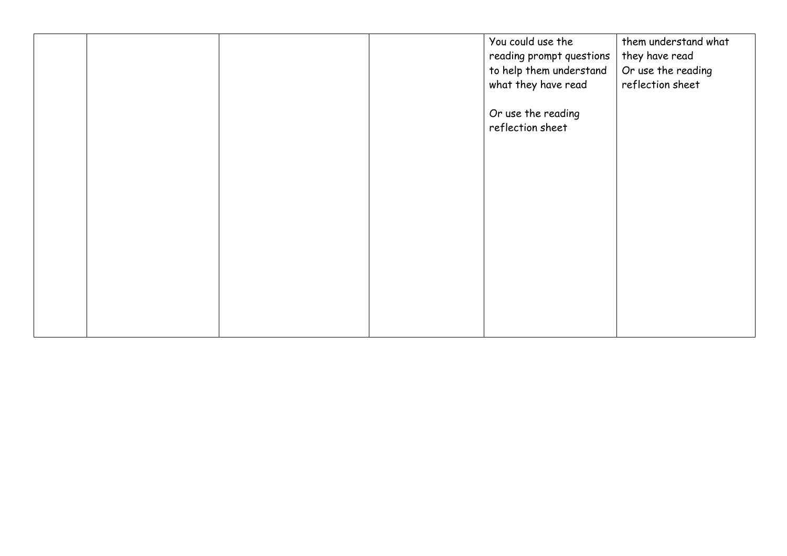|  |  | You could use the        | them understand what |
|--|--|--------------------------|----------------------|
|  |  | reading prompt questions | they have read       |
|  |  | to help them understand  | Or use the reading   |
|  |  | what they have read      | reflection sheet     |
|  |  |                          |                      |
|  |  | Or use the reading       |                      |
|  |  | reflection sheet         |                      |
|  |  |                          |                      |
|  |  |                          |                      |
|  |  |                          |                      |
|  |  |                          |                      |
|  |  |                          |                      |
|  |  |                          |                      |
|  |  |                          |                      |
|  |  |                          |                      |
|  |  |                          |                      |
|  |  |                          |                      |
|  |  |                          |                      |
|  |  |                          |                      |
|  |  |                          |                      |
|  |  |                          |                      |
|  |  |                          |                      |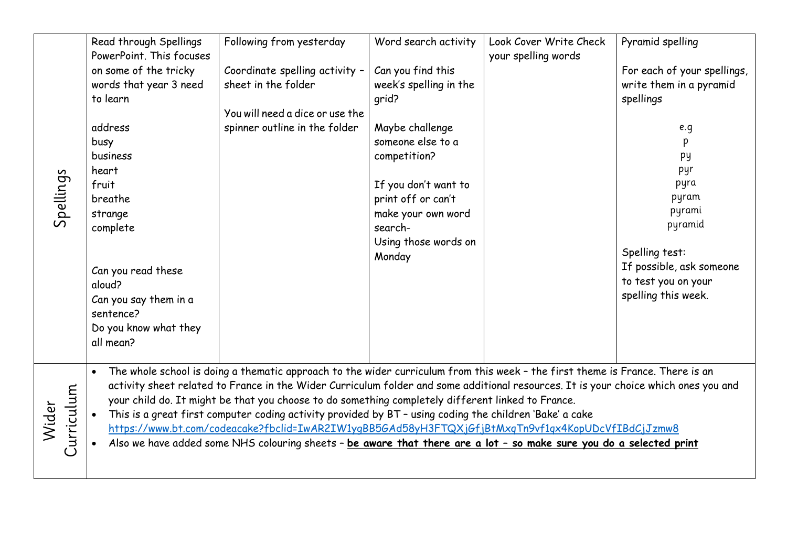|                     | Read through Spellings<br>PowerPoint. This focuses                                                                                                                                                                                                                                                                                                                                                                                                                                                                                                                                                                                                                                                               | Following from yesterday                                                                                                  | Word search activity                                                                                                                                                                                                          | Look Cover Write Check<br>your spelling words | Pyramid spelling                                                                                                                                                                                                               |  |
|---------------------|------------------------------------------------------------------------------------------------------------------------------------------------------------------------------------------------------------------------------------------------------------------------------------------------------------------------------------------------------------------------------------------------------------------------------------------------------------------------------------------------------------------------------------------------------------------------------------------------------------------------------------------------------------------------------------------------------------------|---------------------------------------------------------------------------------------------------------------------------|-------------------------------------------------------------------------------------------------------------------------------------------------------------------------------------------------------------------------------|-----------------------------------------------|--------------------------------------------------------------------------------------------------------------------------------------------------------------------------------------------------------------------------------|--|
| Spellings           | on some of the tricky<br>words that year 3 need<br>to learn<br>address<br>busy<br>business<br>heart<br>fruit<br>breathe<br>strange<br>complete<br>Can you read these<br>aloud?<br>Can you say them in a<br>sentence?<br>Do you know what they<br>all mean?                                                                                                                                                                                                                                                                                                                                                                                                                                                       | Coordinate spelling activity -<br>sheet in the folder<br>You will need a dice or use the<br>spinner outline in the folder | Can you find this<br>week's spelling in the<br>qrid?<br>Maybe challenge<br>someone else to a<br>competition?<br>If you don't want to<br>print off or can't<br>make your own word<br>search-<br>Using those words on<br>Monday |                                               | For each of your spellings,<br>write them in a pyramid<br>spellings<br>e.g<br>p<br>py<br>pyr<br>pyra<br>pyram<br>pyrami<br>pyramid<br>Spelling test:<br>If possible, ask someone<br>to test you on your<br>spelling this week. |  |
| Curriculum<br>Wider | The whole school is doing a thematic approach to the wider curriculum from this week - the first theme is France. There is an<br>activity sheet related to France in the Wider Curriculum folder and some additional resources. It is your choice which ones you and<br>your child do. It might be that you choose to do something completely different linked to France.<br>This is a great first computer coding activity provided by BT - using coding the children 'Bake' a cake<br>https://www.bt.com/codeacake?fbclid=IwAR2IW1ygBB5GAd58yH3FTQXjGfjBtMxqTn9vf1qx4KopUDcVfIBdCjJzmw8<br>Also we have added some NHS colouring sheets - be aware that there are a lot - so make sure you do a selected print |                                                                                                                           |                                                                                                                                                                                                                               |                                               |                                                                                                                                                                                                                                |  |